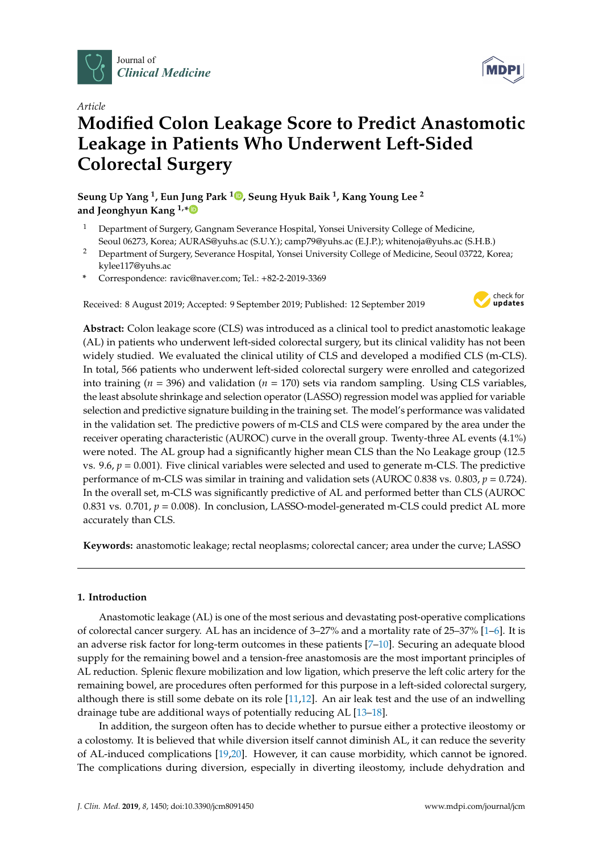



# **Modified Colon Leakage Score to Predict Anastomotic Leakage in Patients Who Underwent Left-Sided Colorectal Surgery**

**Seung Up Yang <sup>1</sup> , Eun Jung Park <sup>1</sup> [,](https://orcid.org/0000-0002-4559-2690) Seung Hyuk Baik <sup>1</sup> , Kang Young Lee <sup>2</sup> and Jeonghyun Kang 1,[\\*](https://orcid.org/0000-0001-7311-6053)**

- <sup>1</sup> Department of Surgery, Gangnam Severance Hospital, Yonsei University College of Medicine, Seoul 06273, Korea; AURAS@yuhs.ac (S.U.Y.); camp79@yuhs.ac (E.J.P.); whitenoja@yuhs.ac (S.H.B.)
- <sup>2</sup> Department of Surgery, Severance Hospital, Yonsei University College of Medicine, Seoul 03722, Korea; kylee117@yuhs.ac
- **\*** Correspondence: ravic@naver.com; Tel.: +82-2-2019-3369

Received: 8 August 2019; Accepted: 9 September 2019; Published: 12 September 2019



**Abstract:** Colon leakage score (CLS) was introduced as a clinical tool to predict anastomotic leakage (AL) in patients who underwent left-sided colorectal surgery, but its clinical validity has not been widely studied. We evaluated the clinical utility of CLS and developed a modified CLS (m-CLS). In total, 566 patients who underwent left-sided colorectal surgery were enrolled and categorized into training (*n* = 396) and validation (*n* = 170) sets via random sampling. Using CLS variables, the least absolute shrinkage and selection operator (LASSO) regression model was applied for variable selection and predictive signature building in the training set. The model's performance was validated in the validation set. The predictive powers of m-CLS and CLS were compared by the area under the receiver operating characteristic (AUROC) curve in the overall group. Twenty-three AL events (4.1%) were noted. The AL group had a significantly higher mean CLS than the No Leakage group (12.5 vs. 9.6, *p* = 0.001). Five clinical variables were selected and used to generate m-CLS. The predictive performance of m-CLS was similar in training and validation sets (AUROC 0.838 vs. 0.803,  $p = 0.724$ ). In the overall set, m-CLS was significantly predictive of AL and performed better than CLS (AUROC 0.831 vs. 0.701, *p* = 0.008). In conclusion, LASSO-model-generated m-CLS could predict AL more accurately than CLS.

**Keywords:** anastomotic leakage; rectal neoplasms; colorectal cancer; area under the curve; LASSO

# **1. Introduction**

Anastomotic leakage (AL) is one of the most serious and devastating post-operative complications of colorectal cancer surgery. AL has an incidence of 3–27% and a mortality rate of 25–37% [\[1](#page-7-0)[–6\]](#page-7-1). It is an adverse risk factor for long-term outcomes in these patients [\[7–](#page-7-2)[10\]](#page-7-3). Securing an adequate blood supply for the remaining bowel and a tension-free anastomosis are the most important principles of AL reduction. Splenic flexure mobilization and low ligation, which preserve the left colic artery for the remaining bowel, are procedures often performed for this purpose in a left-sided colorectal surgery, although there is still some debate on its role [\[11,](#page-8-0)[12\]](#page-8-1). An air leak test and the use of an indwelling drainage tube are additional ways of potentially reducing AL [\[13](#page-8-2)[–18\]](#page-8-3).

In addition, the surgeon often has to decide whether to pursue either a protective ileostomy or a colostomy. It is believed that while diversion itself cannot diminish AL, it can reduce the severity of AL-induced complications [\[19](#page-8-4)[,20\]](#page-8-5). However, it can cause morbidity, which cannot be ignored. The complications during diversion, especially in diverting ileostomy, include dehydration and

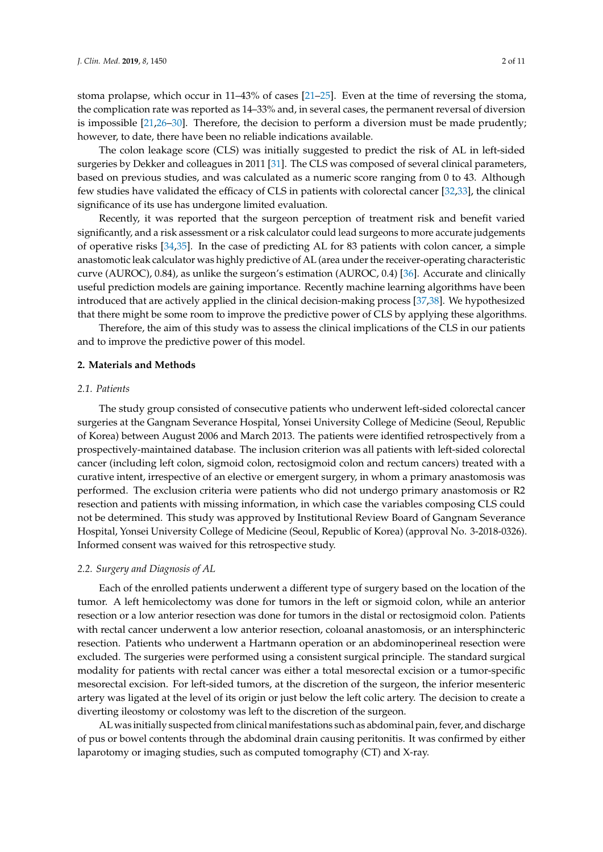stoma prolapse, which occur in 11–43% of cases [\[21](#page-8-6)[–25\]](#page-8-7). Even at the time of reversing the stoma, the complication rate was reported as 14–33% and, in several cases, the permanent reversal of diversion is impossible [\[21,](#page-8-6)[26–](#page-8-8)[30\]](#page-9-0). Therefore, the decision to perform a diversion must be made prudently; however, to date, there have been no reliable indications available.

The colon leakage score (CLS) was initially suggested to predict the risk of AL in left-sided surgeries by Dekker and colleagues in 2011 [\[31\]](#page-9-1). The CLS was composed of several clinical parameters, based on previous studies, and was calculated as a numeric score ranging from 0 to 43. Although few studies have validated the efficacy of CLS in patients with colorectal cancer [\[32,](#page-9-2)[33\]](#page-9-3), the clinical significance of its use has undergone limited evaluation.

Recently, it was reported that the surgeon perception of treatment risk and benefit varied significantly, and a risk assessment or a risk calculator could lead surgeons to more accurate judgements of operative risks [\[34,](#page-9-4)[35\]](#page-9-5). In the case of predicting AL for 83 patients with colon cancer, a simple anastomotic leak calculator was highly predictive of AL (area under the receiver-operating characteristic curve (AUROC), 0.84), as unlike the surgeon's estimation (AUROC, 0.4) [\[36\]](#page-9-6). Accurate and clinically useful prediction models are gaining importance. Recently machine learning algorithms have been introduced that are actively applied in the clinical decision-making process [\[37](#page-9-7)[,38\]](#page-9-8). We hypothesized that there might be some room to improve the predictive power of CLS by applying these algorithms.

Therefore, the aim of this study was to assess the clinical implications of the CLS in our patients and to improve the predictive power of this model.

#### **2. Materials and Methods**

#### *2.1. Patients*

The study group consisted of consecutive patients who underwent left-sided colorectal cancer surgeries at the Gangnam Severance Hospital, Yonsei University College of Medicine (Seoul, Republic of Korea) between August 2006 and March 2013. The patients were identified retrospectively from a prospectively-maintained database. The inclusion criterion was all patients with left-sided colorectal cancer (including left colon, sigmoid colon, rectosigmoid colon and rectum cancers) treated with a curative intent, irrespective of an elective or emergent surgery, in whom a primary anastomosis was performed. The exclusion criteria were patients who did not undergo primary anastomosis or R2 resection and patients with missing information, in which case the variables composing CLS could not be determined. This study was approved by Institutional Review Board of Gangnam Severance Hospital, Yonsei University College of Medicine (Seoul, Republic of Korea) (approval No. 3-2018-0326). Informed consent was waived for this retrospective study.

# *2.2. Surgery and Diagnosis of AL*

Each of the enrolled patients underwent a different type of surgery based on the location of the tumor. A left hemicolectomy was done for tumors in the left or sigmoid colon, while an anterior resection or a low anterior resection was done for tumors in the distal or rectosigmoid colon. Patients with rectal cancer underwent a low anterior resection, coloanal anastomosis, or an intersphincteric resection. Patients who underwent a Hartmann operation or an abdominoperineal resection were excluded. The surgeries were performed using a consistent surgical principle. The standard surgical modality for patients with rectal cancer was either a total mesorectal excision or a tumor-specific mesorectal excision. For left-sided tumors, at the discretion of the surgeon, the inferior mesenteric artery was ligated at the level of its origin or just below the left colic artery. The decision to create a diverting ileostomy or colostomy was left to the discretion of the surgeon.

AL was initially suspected from clinical manifestations such as abdominal pain, fever, and discharge of pus or bowel contents through the abdominal drain causing peritonitis. It was confirmed by either laparotomy or imaging studies, such as computed tomography (CT) and X-ray.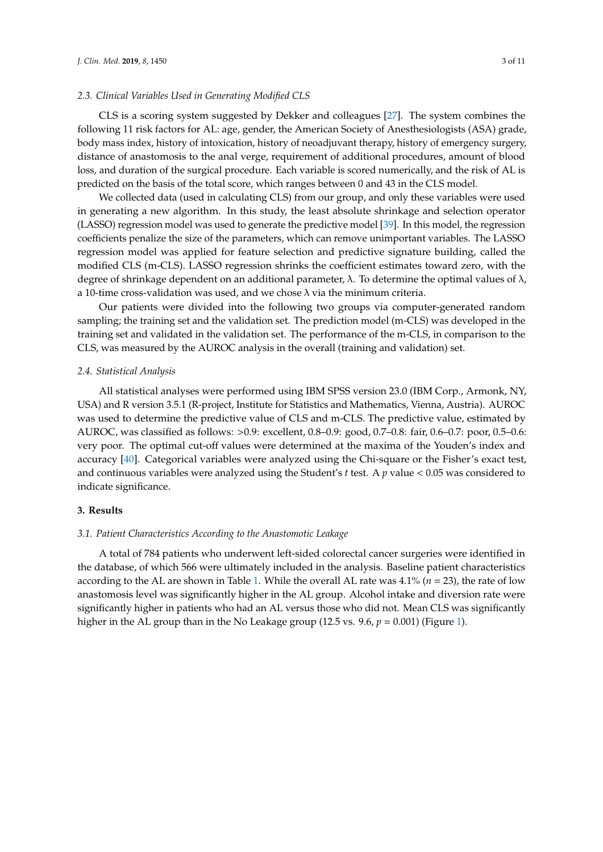#### *2.3. Clinical Variables Used in Generating Modified CLS*

CLS is a scoring system suggested by Dekker and colleagues [\[27\]](#page-8-9). The system combines the following 11 risk factors for AL: age, gender, the American Society of Anesthesiologists (ASA) grade, body mass index, history of intoxication, history of neoadjuvant therapy, history of emergency surgery, distance of anastomosis to the anal verge, requirement of additional procedures, amount of blood loss, and duration of the surgical procedure. Each variable is scored numerically, and the risk of AL is predicted on the basis of the total score, which ranges between 0 and 43 in the CLS model.

We collected data (used in calculating CLS) from our group, and only these variables were used in generating a new algorithm. In this study, the least absolute shrinkage and selection operator (LASSO) regression model was used to generate the predictive model [\[39\]](#page-9-9). In this model, the regression coefficients penalize the size of the parameters, which can remove unimportant variables. The LASSO regression model was applied for feature selection and predictive signature building, called the modified CLS (m-CLS). LASSO regression shrinks the coefficient estimates toward zero, with the degree of shrinkage dependent on an additional parameter,  $λ$ . To determine the optimal values of  $λ$ , a 10-time cross-validation was used, and we chose  $\lambda$  via the minimum criteria.

Our patients were divided into the following two groups via computer-generated random sampling; the training set and the validation set. The prediction model (m-CLS) was developed in the training set and validated in the validation set. The performance of the m-CLS, in comparison to the CLS, was measured by the AUROC analysis in the overall (training and validation) set.

# *2.4. Statistical Analysis*

All statistical analyses were performed using IBM SPSS version 23.0 (IBM Corp., Armonk, NY, USA) and R version 3.5.1 (R-project, Institute for Statistics and Mathematics, Vienna, Austria). AUROC was used to determine the predictive value of CLS and m-CLS. The predictive value, estimated by AUROC, was classified as follows: >0.9: excellent, 0.8–0.9: good, 0.7–0.8: fair, 0.6–0.7: poor, 0.5–0.6: very poor. The optimal cut-off values were determined at the maxima of the Youden's index and accuracy [\[40\]](#page-9-10). Categorical variables were analyzed using the Chi-square or the Fisher's exact test, and continuous variables were analyzed using the Student's *t* test. A *p* value < 0.05 was considered to indicate significance.

#### **3. Results**

#### *3.1. Patient Characteristics According to the Anastomotic Leakage*

A total of 784 patients who underwent left-sided colorectal cancer surgeries were identified in the database, of which 566 were ultimately included in the analysis. Baseline patient characteristics according to the AL are shown in Table [1.](#page-3-0) While the overall AL rate was 4.1% (*n* = 23), the rate of low anastomosis level was significantly higher in the AL group. Alcohol intake and diversion rate were significantly higher in patients who had an AL versus those who did not. Mean CLS was significantly higher in the AL group than in the No Leakage group (12.5 vs. 9.6, *p* = 0.001) (Figure [1\)](#page-3-1).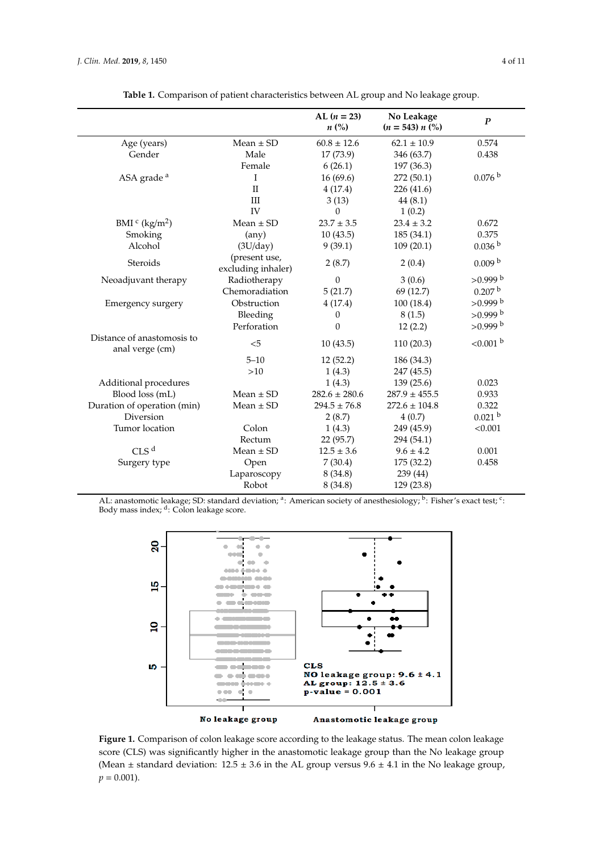<span id="page-3-0"></span>

|                                               |                                     | AL $(n = 23)$<br>$n\ (\%)$ | No Leakage<br>$(n = 543) n$ (%) | $\boldsymbol{P}$   |
|-----------------------------------------------|-------------------------------------|----------------------------|---------------------------------|--------------------|
| Age (years)                                   | $Mean \pm SD$                       | $60.8 \pm 12.6$            | $62.1 \pm 10.9$                 | 0.574              |
| Gender                                        | Male                                | 17 (73.9)                  | 346 (63.7)                      | 0.438              |
|                                               | Female                              | 6(26.1)                    | 197 (36.3)                      |                    |
| ASA grade <sup>a</sup>                        | I                                   | 16(69.6)                   | 272 (50.1)                      | 0.076 <sup>b</sup> |
|                                               | $\mathbf{H}$                        | 4(17.4)                    | 226 (41.6)                      |                    |
|                                               | Ш                                   | 3(13)                      | 44(8.1)                         |                    |
|                                               | <b>IV</b>                           | $\theta$                   | 1(0.2)                          |                    |
| BMI $\text{c}$ (kg/m <sup>2</sup> )           | Mean $\pm$ SD                       | $23.7 \pm 3.5$             | $23.4 \pm 3.2$                  | 0.672              |
| Smoking                                       | (any)                               | 10(43.5)                   | 185 (34.1)                      | 0.375              |
| Alcohol                                       | (3U/day)                            | 9(39.1)                    | 109(20.1)                       | 0.036 <sup>b</sup> |
| Steroids                                      | (present use,<br>excluding inhaler) | 2(8.7)                     | 2(0.4)                          | 0.009 <sup>b</sup> |
| Neoadjuvant therapy                           | Radiotherapy                        | $\boldsymbol{0}$           | 3(0.6)                          | $>0.999$ b         |
|                                               | Chemoradiation                      | 5(21.7)                    | 69 (12.7)                       | 0.207 <sup>b</sup> |
| Emergency surgery                             | Obstruction                         | 4(17.4)                    | 100 (18.4)                      | $>0.999$ b         |
|                                               | Bleeding                            | $\theta$                   | 8(1.5)                          | $>0.999$ b         |
|                                               | Perforation                         | $\Omega$                   | 12(2.2)                         | $>0.999$ b         |
| Distance of anastomosis to<br>anal verge (cm) | $<$ 5                               | 10(43.5)                   | 110 (20.3)                      | $< 0.001$ b        |
|                                               | $5 - 10$                            | 12(52.2)                   | 186 (34.3)                      |                    |
|                                               | >10                                 | 1(4.3)                     | 247 (45.5)                      |                    |
| Additional procedures                         |                                     | 1(4.3)                     | 139(25.6)                       | 0.023              |
| Blood loss (mL)                               | Mean $\pm$ SD                       | $282.6 \pm 280.6$          | $287.9 \pm 455.5$               | 0.933              |
| Duration of operation (min)                   | Mean $\pm$ SD                       | $294.5 \pm 76.8$           | $272.6 \pm 104.8$               | 0.322              |
| Diversion                                     |                                     | 2(8.7)                     | 4(0.7)                          | 0.021 <sup>b</sup> |
| Tumor location                                | Colon                               | 1(4.3)                     | 249 (45.9)                      | < 0.001            |
|                                               | Rectum                              | 22 (95.7)                  | 294 (54.1)                      |                    |
| CLS <sup>d</sup>                              | Mean $\pm$ SD                       | $12.5 \pm 3.6$             | $9.6 \pm 4.2$                   | 0.001              |
| Surgery type                                  | Open                                | 7(30.4)                    | 175 (32.2)                      | 0.458              |
|                                               | Laparoscopy                         | 8(34.8)                    | 239 (44)                        |                    |
|                                               | Robot                               | 8(34.8)                    | 129 (23.8)                      |                    |

**Table 1.** Comparison of patient characteristics between AL group and No leakage group.

<span id="page-3-1"></span>AL: anastomotic leakage; SD: standard deviation; <sup>a</sup>: American society of anesthesiology; <sup>b</sup>: Fisher's exact test; <sup>c</sup>: Body mass index; <sup>d</sup>: Colon leakage score.



**Figure 1.** Comparison of colon leakage score according to the leakage status. The mean colon leakage **Figure 1.** Comparison of colon leakage score according to the leakage status. The mean colon leakage score (CLS) was significantly higher in the anastomotic leakage group than the No leakage group score (CLS) was significantly higher in the anastomotic leakage group than the No leakage group (Mean  $\pm$  standard deviation:  $12.5 \pm 3.6$  in the AL group versus  $9.6 \pm 4.1$  in the No leakage group,  $p = 0.001$ ).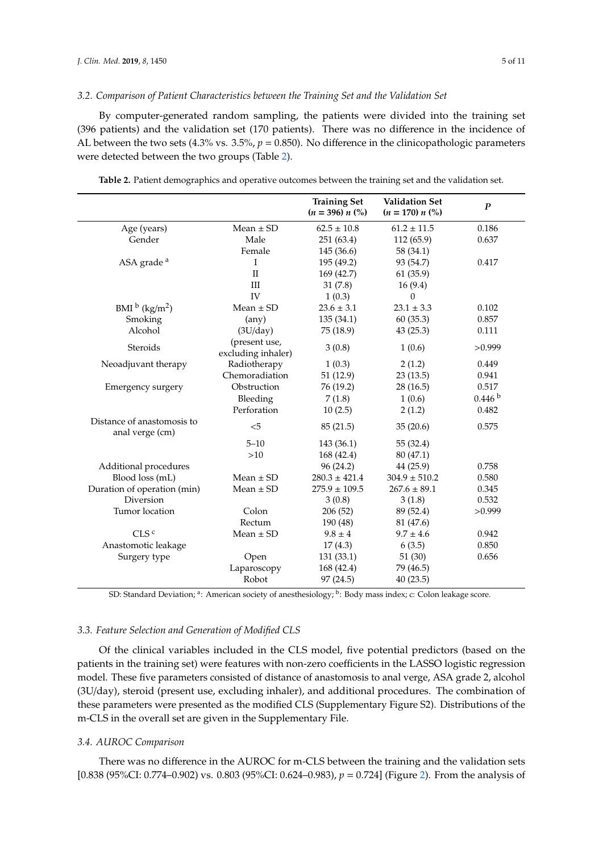#### *3.2. Comparison of Patient Characteristics between the Training Set and the Validation Set*

By computer-generated random sampling, the patients were divided into the training set (396 patients) and the validation set (170 patients). There was no difference in the incidence of AL between the two sets (4.3% vs. 3.5%, *p* = 0.850). No difference in the clinicopathologic parameters were detected between the two groups (Table [2\)](#page-4-0).

|                                               |                                     | <b>Training Set</b><br>$(n = 396) n$ (%) | <b>Validation Set</b><br>$(n = 170) n$ (%) | $\boldsymbol{P}$   |
|-----------------------------------------------|-------------------------------------|------------------------------------------|--------------------------------------------|--------------------|
| Age (years)                                   | Mean $\pm$ SD                       | $62.5 \pm 10.8$                          | $61.2 \pm 11.5$                            | 0.186              |
| Gender                                        | Male                                | 251 (63.4)                               | 112 (65.9)                                 | 0.637              |
|                                               | Female                              | 145 (36.6)                               | 58 (34.1)                                  |                    |
| ASA grade <sup>a</sup>                        | I                                   | 195 (49.2)                               | 93 (54.7)                                  | 0.417              |
|                                               | $\Pi$                               | 169 (42.7)                               | 61(35.9)                                   |                    |
|                                               | III                                 | 31(7.8)                                  | 16(9.4)                                    |                    |
|                                               | <b>IV</b>                           | 1(0.3)                                   | 0                                          |                    |
| BMI $\frac{b}{k}$ (kg/m <sup>2</sup> )        | Mean $\pm$ SD                       | $23.6 \pm 3.1$                           | $23.1 \pm 3.3$                             | 0.102              |
| Smoking                                       | (any)                               | 135(34.1)                                | 60(35.3)                                   | 0.857              |
| Alcohol                                       | (3U/day)                            | 75 (18.9)                                | 43 (25.3)                                  | 0.111              |
| Steroids                                      | (present use,<br>excluding inhaler) | 3(0.8)                                   | 1(0.6)                                     | >0.999             |
| Neoadjuvant therapy                           | Radiotherapy                        | 1(0.3)                                   | 2(1.2)                                     | 0.449              |
|                                               | Chemoradiation                      | 51(12.9)                                 | 23(13.5)                                   | 0.941              |
| Emergency surgery                             | Obstruction                         | 76 (19.2)                                | 28 (16.5)                                  | 0.517              |
|                                               | Bleeding                            | 7(1.8)                                   | 1(0.6)                                     | 0.446 <sup>b</sup> |
|                                               | Perforation                         | 10(2.5)                                  | 2(1.2)                                     | 0.482              |
| Distance of anastomosis to<br>anal verge (cm) | $5$                                 | 85(21.5)                                 | 35(20.6)                                   | 0.575              |
|                                               | $5 - 10$                            | 143 (36.1)                               | 55 (32.4)                                  |                    |
|                                               | >10                                 | 168 (42.4)                               | 80 (47.1)                                  |                    |
| Additional procedures                         |                                     | 96 (24.2)                                | 44 (25.9)                                  | 0.758              |
| Blood loss (mL)                               | Mean $\pm$ SD                       | $280.3 \pm 421.4$                        | $304.9 \pm 510.2$                          | 0.580              |
| Duration of operation (min)                   | $Mean \pm SD$                       | $275.9 \pm 109.5$                        | $267.6 \pm 89.1$                           | 0.345              |
| Diversion                                     |                                     | 3(0.8)                                   | 3(1.8)                                     | 0.532              |
| Tumor location                                | Colon                               | 206 (52)                                 | 89 (52.4)                                  | >0.999             |
|                                               | Rectum                              | 190 (48)                                 | 81 (47.6)                                  |                    |
| CLS <sup>c</sup>                              | Mean $\pm$ SD                       | $9.8 \pm 4$                              | $9.7 \pm 4.6$                              | 0.942              |
| Anastomotic leakage                           |                                     | 17(4.3)                                  | 6(3.5)                                     | 0.850              |
| Surgery type                                  | Open                                | 131(33.1)                                | 51(30)                                     | 0.656              |
|                                               | Laparoscopy                         | 168 (42.4)                               | 79 (46.5)                                  |                    |
|                                               | Robot                               | 97 (24.5)                                | 40 (23.5)                                  |                    |

<span id="page-4-0"></span>**Table 2.** Patient demographics and operative outcomes between the training set and the validation set.

SD: Standard Deviation; <sup>a</sup>: American society of anesthesiology; <sup>b</sup>: Body mass index; c: Colon leakage score.

#### *3.3. Feature Selection and Generation of Modified CLS*

Of the clinical variables included in the CLS model, five potential predictors (based on the patients in the training set) were features with non-zero coefficients in the LASSO logistic regression model. These five parameters consisted of distance of anastomosis to anal verge, ASA grade 2, alcohol (3U/day), steroid (present use, excluding inhaler), and additional procedures. The combination of these parameters were presented as the modified CLS (Supplementary Figure S2). Distributions of the m-CLS in the overall set are given in the Supplementary File.

# *3.4. AUROC Comparison*

There was no difference in the AUROC for m-CLS between the training and the validation sets [0.838 (95%CI: 0.774–0.902) vs. 0.803 (95%CI: 0.624–0.983), *p* = 0.724] (Figure [2\)](#page-5-0). From the analysis of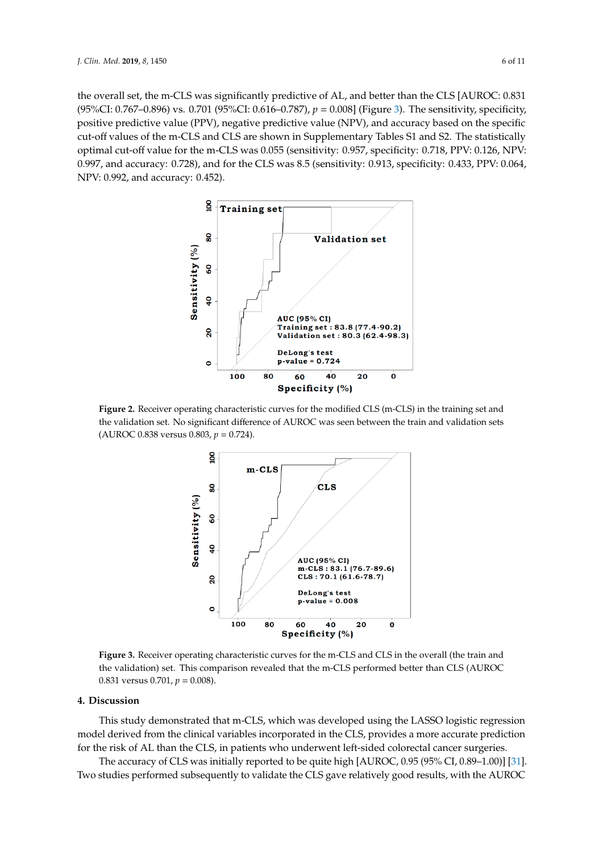<span id="page-5-0"></span>the overall set, the m-CLS was significantly predictive of AL, and better than the CLS [AUROC: 0.831 the overall set, the m-CLS was significantly predictive of AL, and better than the CLS [AUROC: 0.831<br>(95%CI: 0.767–0.896) vs. 0.701 (95%CI: 0.616–0.787), p = 0.008] (Figure 3). The sensitivity, specificity, positive predictive value (PPV), negative predictive value (NPV), and accuracy based on the specific positive predictive value (PPV), negative predictive value (NPV), and accuracy based on the specific<br>cut-off values of the m-CLS and CLS are shown in Supplementary Tables S1 and S2. The statistically optimal cut-off value for the m-CLS was 0.055 (sensitivity: 0.957, specificity: 0.718, PPV: 0.126, NPV: 0.997, and accuracy: 0.728), and for the CLS was 8.5 (sensitivity: 0.913, specificity: 0.433, PPV: 0.064, 0.997, and accuracy: 0.728), and for the CLS was 8.5 (sensitivity: 0.913, specificity: 0.433, PPV: 0.064, NPV: 0.992, and accuracy: 0.452). NPV: 0.992, and accuracy: 0.452).



<span id="page-5-1"></span>**Figure 2.** Receiver operating characteristic curves for the modified CLS (m-CLS) in the training set **Figure 2.** Receiver operating characteristic curves for the modified CLS (m-CLS) in the training set and the validation set. No significant difference of AUROC was seen between the train and validation sets  $(AUROC 0.838 versus 0.803, p = 0.724).$ 



**Figure 3.** Receiver operating characteristic curves for the m-CLS and CLS in the overall (the train and **Figure 3.** Receiver operating characteristic curves for the m-CLS and CLS in the overall (the train and the validation) set. This comparison revealed that the m-CLS performed better than CLS (AUROC the validation) set. This comparison revealed that the m-CLS performed better than CLS (AUROC 0.831 versus 0.701, *p* = 0.008). 0.831 versus 0.701, *p* = 0.008).

# **4. Discussion 4. Discussion**

This study demonstrated that m-CLS, which was developed using the LASSO logistic regression model derived from the clinical variables incorporated in the CLS, provides a more accurate prediction for the risk of AL than the CLS, in patients who underwent left-sided colorectal cancer surgeries.

 $\overline{z}$  inec Two studies performed subsequently to validate the CLS gave relatively good results, with the  $\rm AUROC$ The accuracy of CLS was initially reported to be quite high [AUROC, 0.95 (95% CI, 0.89–1.00)] [\[31\]](#page-9-1).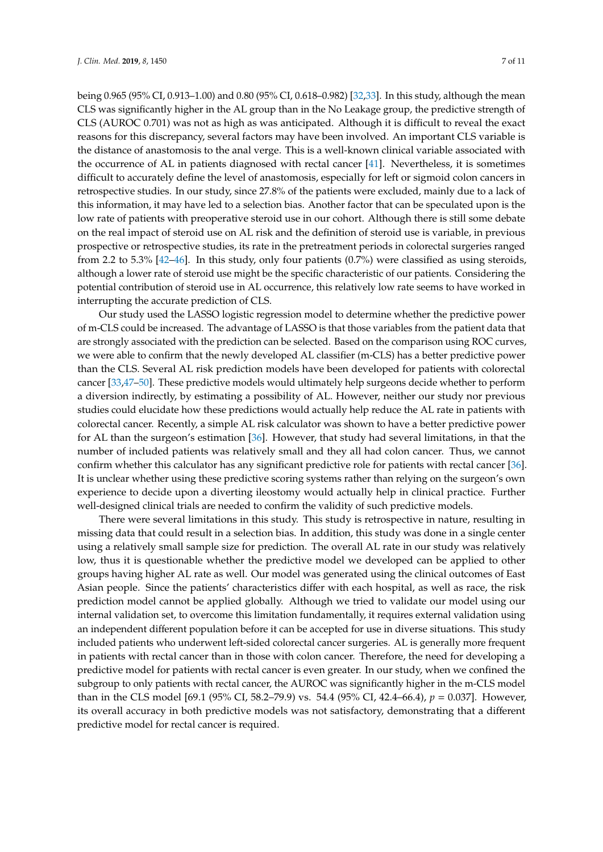interrupting the accurate prediction of CLS.

being 0.965 (95% CI, 0.913–1.00) and 0.80 (95% CI, 0.618–0.982) [\[32](#page-9-2)[,33\]](#page-9-3). In this study, although the mean CLS was significantly higher in the AL group than in the No Leakage group, the predictive strength of CLS (AUROC 0.701) was not as high as was anticipated. Although it is difficult to reveal the exact reasons for this discrepancy, several factors may have been involved. An important CLS variable is the distance of anastomosis to the anal verge. This is a well-known clinical variable associated with the occurrence of AL in patients diagnosed with rectal cancer [\[41\]](#page-9-11). Nevertheless, it is sometimes difficult to accurately define the level of anastomosis, especially for left or sigmoid colon cancers in retrospective studies. In our study, since 27.8% of the patients were excluded, mainly due to a lack of this information, it may have led to a selection bias. Another factor that can be speculated upon is the low rate of patients with preoperative steroid use in our cohort. Although there is still some debate on the real impact of steroid use on AL risk and the definition of steroid use is variable, in previous prospective or retrospective studies, its rate in the pretreatment periods in colorectal surgeries ranged from 2.2 to 5.3% [\[42](#page-9-12)[–46\]](#page-9-13). In this study, only four patients (0.7%) were classified as using steroids, although a lower rate of steroid use might be the specific characteristic of our patients. Considering the potential contribution of steroid use in AL occurrence, this relatively low rate seems to have worked in

Our study used the LASSO logistic regression model to determine whether the predictive power of m-CLS could be increased. The advantage of LASSO is that those variables from the patient data that are strongly associated with the prediction can be selected. Based on the comparison using ROC curves, we were able to confirm that the newly developed AL classifier (m-CLS) has a better predictive power than the CLS. Several AL risk prediction models have been developed for patients with colorectal cancer [\[33](#page-9-3)[,47](#page-9-14)[–50\]](#page-10-0). These predictive models would ultimately help surgeons decide whether to perform a diversion indirectly, by estimating a possibility of AL. However, neither our study nor previous studies could elucidate how these predictions would actually help reduce the AL rate in patients with colorectal cancer. Recently, a simple AL risk calculator was shown to have a better predictive power for AL than the surgeon's estimation [\[36\]](#page-9-6). However, that study had several limitations, in that the number of included patients was relatively small and they all had colon cancer. Thus, we cannot confirm whether this calculator has any significant predictive role for patients with rectal cancer [\[36\]](#page-9-6). It is unclear whether using these predictive scoring systems rather than relying on the surgeon's own experience to decide upon a diverting ileostomy would actually help in clinical practice. Further well-designed clinical trials are needed to confirm the validity of such predictive models.

There were several limitations in this study. This study is retrospective in nature, resulting in missing data that could result in a selection bias. In addition, this study was done in a single center using a relatively small sample size for prediction. The overall AL rate in our study was relatively low, thus it is questionable whether the predictive model we developed can be applied to other groups having higher AL rate as well. Our model was generated using the clinical outcomes of East Asian people. Since the patients' characteristics differ with each hospital, as well as race, the risk prediction model cannot be applied globally. Although we tried to validate our model using our internal validation set, to overcome this limitation fundamentally, it requires external validation using an independent different population before it can be accepted for use in diverse situations. This study included patients who underwent left-sided colorectal cancer surgeries. AL is generally more frequent in patients with rectal cancer than in those with colon cancer. Therefore, the need for developing a predictive model for patients with rectal cancer is even greater. In our study, when we confined the subgroup to only patients with rectal cancer, the AUROC was significantly higher in the m-CLS model than in the CLS model [69.1 (95% CI, 58.2–79.9) vs. 54.4 (95% CI, 42.4–66.4), *p* = 0.037]. However, its overall accuracy in both predictive models was not satisfactory, demonstrating that a different predictive model for rectal cancer is required.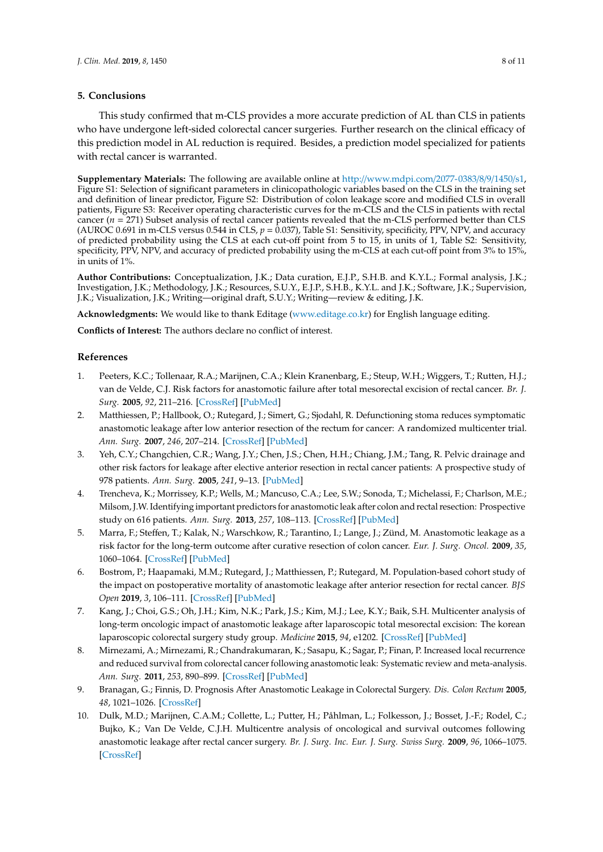# **5. Conclusions**

This study confirmed that m-CLS provides a more accurate prediction of AL than CLS in patients who have undergone left-sided colorectal cancer surgeries. Further research on the clinical efficacy of this prediction model in AL reduction is required. Besides, a prediction model specialized for patients with rectal cancer is warranted.

**Supplementary Materials:** The following are available online at http://[www.mdpi.com](http://www.mdpi.com/2077-0383/8/9/1450/s1)/2077-0383/8/9/1450/s1, Figure S1: Selection of significant parameters in clinicopathologic variables based on the CLS in the training set and definition of linear predictor, Figure S2: Distribution of colon leakage score and modified CLS in overall patients, Figure S3: Receiver operating characteristic curves for the m-CLS and the CLS in patients with rectal cancer (*n* = 271) Subset analysis of rectal cancer patients revealed that the m-CLS performed better than CLS (AUROC 0.691 in m-CLS versus 0.544 in CLS,  $p = 0.037$ ), Table S1: Sensitivity, specificity, PPV, NPV, and accuracy of predicted probability using the CLS at each cut-off point from 5 to 15, in units of 1, Table S2: Sensitivity, specificity, PPV, NPV, and accuracy of predicted probability using the m-CLS at each cut-off point from 3% to 15%, in units of 1%.

**Author Contributions:** Conceptualization, J.K.; Data curation, E.J.P., S.H.B. and K.Y.L.; Formal analysis, J.K.; Investigation, J.K.; Methodology, J.K.; Resources, S.U.Y., E.J.P., S.H.B., K.Y.L. and J.K.; Software, J.K.; Supervision, J.K.; Visualization, J.K.; Writing—original draft, S.U.Y.; Writing—review & editing, J.K.

**Acknowledgments:** We would like to thank Editage [\(www.editage.co.kr\)](www.editage.co.kr) for English language editing.

**Conflicts of Interest:** The authors declare no conflict of interest.

# **References**

- <span id="page-7-0"></span>1. Peeters, K.C.; Tollenaar, R.A.; Marijnen, C.A.; Klein Kranenbarg, E.; Steup, W.H.; Wiggers, T.; Rutten, H.J.; van de Velde, C.J. Risk factors for anastomotic failure after total mesorectal excision of rectal cancer. *Br. J. Surg.* **2005**, *92*, 211–216. [\[CrossRef\]](http://dx.doi.org/10.1002/bjs.4806) [\[PubMed\]](http://www.ncbi.nlm.nih.gov/pubmed/15584062)
- 2. Matthiessen, P.; Hallbook, O.; Rutegard, J.; Simert, G.; Sjodahl, R. Defunctioning stoma reduces symptomatic anastomotic leakage after low anterior resection of the rectum for cancer: A randomized multicenter trial. *Ann. Surg.* **2007**, *246*, 207–214. [\[CrossRef\]](http://dx.doi.org/10.1097/SLA.0b013e3180603024) [\[PubMed\]](http://www.ncbi.nlm.nih.gov/pubmed/17667498)
- 3. Yeh, C.Y.; Changchien, C.R.; Wang, J.Y.; Chen, J.S.; Chen, H.H.; Chiang, J.M.; Tang, R. Pelvic drainage and other risk factors for leakage after elective anterior resection in rectal cancer patients: A prospective study of 978 patients. *Ann. Surg.* **2005**, *241*, 9–13. [\[PubMed\]](http://www.ncbi.nlm.nih.gov/pubmed/15621985)
- 4. Trencheva, K.; Morrissey, K.P.; Wells, M.; Mancuso, C.A.; Lee, S.W.; Sonoda, T.; Michelassi, F.; Charlson, M.E.; Milsom, J.W. Identifying important predictors for anastomotic leak after colon and rectal resection: Prospective study on 616 patients. *Ann. Surg.* **2013**, *257*, 108–113. [\[CrossRef\]](http://dx.doi.org/10.1097/SLA.0b013e318262a6cd) [\[PubMed\]](http://www.ncbi.nlm.nih.gov/pubmed/22968068)
- 5. Marra, F.; Steffen, T.; Kalak, N.; Warschkow, R.; Tarantino, I.; Lange, J.; Zünd, M. Anastomotic leakage as a risk factor for the long-term outcome after curative resection of colon cancer. *Eur. J. Surg. Oncol.* **2009**, *35*, 1060–1064. [\[CrossRef\]](http://dx.doi.org/10.1016/j.ejso.2009.02.011) [\[PubMed\]](http://www.ncbi.nlm.nih.gov/pubmed/19303243)
- <span id="page-7-1"></span>6. Bostrom, P.; Haapamaki, M.M.; Rutegard, J.; Matthiessen, P.; Rutegard, M. Population-based cohort study of the impact on postoperative mortality of anastomotic leakage after anterior resection for rectal cancer. *BJS Open* **2019**, *3*, 106–111. [\[CrossRef\]](http://dx.doi.org/10.1002/bjs5.50106) [\[PubMed\]](http://www.ncbi.nlm.nih.gov/pubmed/30734021)
- <span id="page-7-2"></span>7. Kang, J.; Choi, G.S.; Oh, J.H.; Kim, N.K.; Park, J.S.; Kim, M.J.; Lee, K.Y.; Baik, S.H. Multicenter analysis of long-term oncologic impact of anastomotic leakage after laparoscopic total mesorectal excision: The korean laparoscopic colorectal surgery study group. *Medicine* **2015**, *94*, e1202. [\[CrossRef\]](http://dx.doi.org/10.1097/MD.0000000000001202) [\[PubMed\]](http://www.ncbi.nlm.nih.gov/pubmed/26200636)
- 8. Mirnezami, A.; Mirnezami, R.; Chandrakumaran, K.; Sasapu, K.; Sagar, P.; Finan, P. Increased local recurrence and reduced survival from colorectal cancer following anastomotic leak: Systematic review and meta-analysis. *Ann. Surg.* **2011**, *253*, 890–899. [\[CrossRef\]](http://dx.doi.org/10.1097/SLA.0b013e3182128929) [\[PubMed\]](http://www.ncbi.nlm.nih.gov/pubmed/21394013)
- 9. Branagan, G.; Finnis, D. Prognosis After Anastomotic Leakage in Colorectal Surgery. *Dis. Colon Rectum* **2005**, *48*, 1021–1026. [\[CrossRef\]](http://dx.doi.org/10.1007/s10350-004-0869-4)
- <span id="page-7-3"></span>10. Dulk, M.D.; Marijnen, C.A.M.; Collette, L.; Putter, H.; Påhlman, L.; Folkesson, J.; Bosset, J.-F.; Rodel, C.; Bujko, K.; Van De Velde, C.J.H. Multicentre analysis of oncological and survival outcomes following anastomotic leakage after rectal cancer surgery. *Br. J. Surg. Inc. Eur. J. Surg. Swiss Surg.* **2009**, *96*, 1066–1075. [\[CrossRef\]](http://dx.doi.org/10.1002/bjs.6694)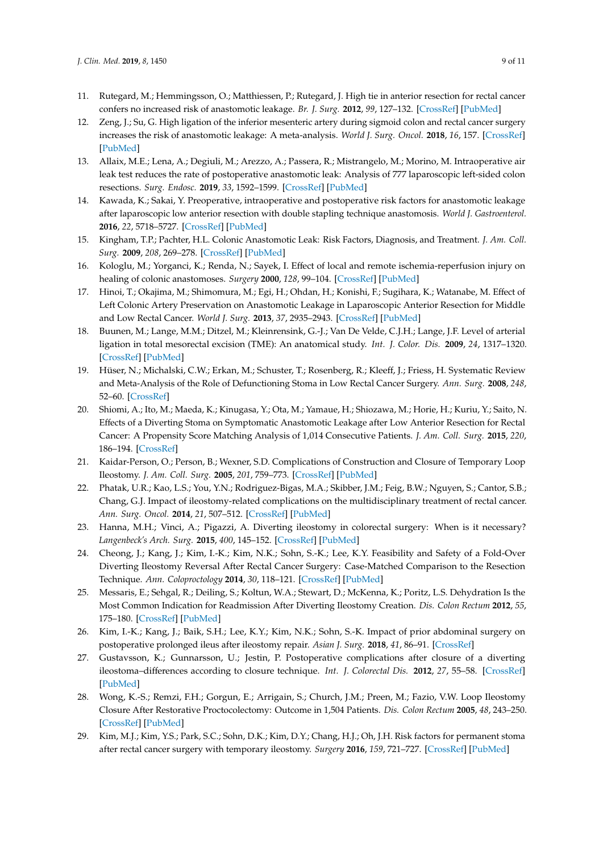- <span id="page-8-0"></span>11. Rutegard, M.; Hemmingsson, O.; Matthiessen, P.; Rutegard, J. High tie in anterior resection for rectal cancer confers no increased risk of anastomotic leakage. *Br. J. Surg.* **2012**, *99*, 127–132. [\[CrossRef\]](http://dx.doi.org/10.1002/bjs.7712) [\[PubMed\]](http://www.ncbi.nlm.nih.gov/pubmed/22038493)
- <span id="page-8-1"></span>12. Zeng, J.; Su, G. High ligation of the inferior mesenteric artery during sigmoid colon and rectal cancer surgery increases the risk of anastomotic leakage: A meta-analysis. *World J. Surg. Oncol.* **2018**, *16*, 157. [\[CrossRef\]](http://dx.doi.org/10.1186/s12957-018-1458-7) [\[PubMed\]](http://www.ncbi.nlm.nih.gov/pubmed/30071856)
- <span id="page-8-2"></span>13. Allaix, M.E.; Lena, A.; Degiuli, M.; Arezzo, A.; Passera, R.; Mistrangelo, M.; Morino, M. Intraoperative air leak test reduces the rate of postoperative anastomotic leak: Analysis of 777 laparoscopic left-sided colon resections. *Surg. Endosc.* **2019**, *33*, 1592–1599. [\[CrossRef\]](http://dx.doi.org/10.1007/s00464-018-6421-8) [\[PubMed\]](http://www.ncbi.nlm.nih.gov/pubmed/30203203)
- 14. Kawada, K.; Sakai, Y. Preoperative, intraoperative and postoperative risk factors for anastomotic leakage after laparoscopic low anterior resection with double stapling technique anastomosis. *World J. Gastroenterol.* **2016**, *22*, 5718–5727. [\[CrossRef\]](http://dx.doi.org/10.3748/wjg.v22.i25.5718) [\[PubMed\]](http://www.ncbi.nlm.nih.gov/pubmed/27433085)
- 15. Kingham, T.P.; Pachter, H.L. Colonic Anastomotic Leak: Risk Factors, Diagnosis, and Treatment. *J. Am. Coll. Surg.* **2009**, *208*, 269–278. [\[CrossRef\]](http://dx.doi.org/10.1016/j.jamcollsurg.2008.10.015) [\[PubMed\]](http://www.ncbi.nlm.nih.gov/pubmed/19228539)
- 16. Kologlu, M.; Yorganci, K.; Renda, N.; Sayek, I. Effect of local and remote ischemia-reperfusion injury on healing of colonic anastomoses. *Surgery* **2000**, *128*, 99–104. [\[CrossRef\]](http://dx.doi.org/10.1067/msy.2000.107414) [\[PubMed\]](http://www.ncbi.nlm.nih.gov/pubmed/10876192)
- 17. Hinoi, T.; Okajima, M.; Shimomura, M.; Egi, H.; Ohdan, H.; Konishi, F.; Sugihara, K.; Watanabe, M. Effect of Left Colonic Artery Preservation on Anastomotic Leakage in Laparoscopic Anterior Resection for Middle and Low Rectal Cancer. *World J. Surg.* **2013**, *37*, 2935–2943. [\[CrossRef\]](http://dx.doi.org/10.1007/s00268-013-2194-3) [\[PubMed\]](http://www.ncbi.nlm.nih.gov/pubmed/24005279)
- <span id="page-8-3"></span>18. Buunen, M.; Lange, M.M.; Ditzel, M.; Kleinrensink, G.-J.; Van De Velde, C.J.H.; Lange, J.F. Level of arterial ligation in total mesorectal excision (TME): An anatomical study. *Int. J. Color. Dis.* **2009**, *24*, 1317–1320. [\[CrossRef\]](http://dx.doi.org/10.1007/s00384-009-0761-8) [\[PubMed\]](http://www.ncbi.nlm.nih.gov/pubmed/19609537)
- <span id="page-8-4"></span>19. Hüser, N.; Michalski, C.W.; Erkan, M.; Schuster, T.; Rosenberg, R.; Kleeff, J.; Friess, H. Systematic Review and Meta-Analysis of the Role of Defunctioning Stoma in Low Rectal Cancer Surgery. *Ann. Surg.* **2008**, *248*, 52–60. [\[CrossRef\]](http://dx.doi.org/10.1097/SLA.0b013e318176bf65)
- <span id="page-8-5"></span>20. Shiomi, A.; Ito, M.; Maeda, K.; Kinugasa, Y.; Ota, M.; Yamaue, H.; Shiozawa, M.; Horie, H.; Kuriu, Y.; Saito, N. Effects of a Diverting Stoma on Symptomatic Anastomotic Leakage after Low Anterior Resection for Rectal Cancer: A Propensity Score Matching Analysis of 1,014 Consecutive Patients. *J. Am. Coll. Surg.* **2015**, *220*, 186–194. [\[CrossRef\]](http://dx.doi.org/10.1016/j.jamcollsurg.2014.10.017)
- <span id="page-8-6"></span>21. Kaidar-Person, O.; Person, B.; Wexner, S.D. Complications of Construction and Closure of Temporary Loop Ileostomy. *J. Am. Coll. Surg.* **2005**, *201*, 759–773. [\[CrossRef\]](http://dx.doi.org/10.1016/j.jamcollsurg.2005.06.002) [\[PubMed\]](http://www.ncbi.nlm.nih.gov/pubmed/16256921)
- 22. Phatak, U.R.; Kao, L.S.; You, Y.N.; Rodriguez-Bigas, M.A.; Skibber, J.M.; Feig, B.W.; Nguyen, S.; Cantor, S.B.; Chang, G.J. Impact of ileostomy-related complications on the multidisciplinary treatment of rectal cancer. *Ann. Surg. Oncol.* **2014**, *21*, 507–512. [\[CrossRef\]](http://dx.doi.org/10.1245/s10434-013-3287-9) [\[PubMed\]](http://www.ncbi.nlm.nih.gov/pubmed/24085329)
- 23. Hanna, M.H.; Vinci, A.; Pigazzi, A. Diverting ileostomy in colorectal surgery: When is it necessary? *Langenbeck's Arch. Surg.* **2015**, *400*, 145–152. [\[CrossRef\]](http://dx.doi.org/10.1007/s00423-015-1275-1) [\[PubMed\]](http://www.ncbi.nlm.nih.gov/pubmed/25633276)
- 24. Cheong, J.; Kang, J.; Kim, I.-K.; Kim, N.K.; Sohn, S.-K.; Lee, K.Y. Feasibility and Safety of a Fold-Over Diverting Ileostomy Reversal After Rectal Cancer Surgery: Case-Matched Comparison to the Resection Technique. *Ann. Coloproctology* **2014**, *30*, 118–121. [\[CrossRef\]](http://dx.doi.org/10.3393/ac.2014.30.3.118) [\[PubMed\]](http://www.ncbi.nlm.nih.gov/pubmed/24999462)
- <span id="page-8-7"></span>25. Messaris, E.; Sehgal, R.; Deiling, S.; Koltun, W.A.; Stewart, D.; McKenna, K.; Poritz, L.S. Dehydration Is the Most Common Indication for Readmission After Diverting Ileostomy Creation. *Dis. Colon Rectum* **2012**, *55*, 175–180. [\[CrossRef\]](http://dx.doi.org/10.1097/DCR.0b013e31823d0ec5) [\[PubMed\]](http://www.ncbi.nlm.nih.gov/pubmed/22228161)
- <span id="page-8-8"></span>26. Kim, I.-K.; Kang, J.; Baik, S.H.; Lee, K.Y.; Kim, N.K.; Sohn, S.-K. Impact of prior abdominal surgery on postoperative prolonged ileus after ileostomy repair. *Asian J. Surg.* **2018**, *41*, 86–91. [\[CrossRef\]](http://dx.doi.org/10.1016/j.asjsur.2016.07.006)
- <span id="page-8-9"></span>27. Gustavsson, K.; Gunnarsson, U.; Jestin, P. Postoperative complications after closure of a diverting ileostoma–differences according to closure technique. *Int. J. Colorectal Dis.* **2012**, *27*, 55–58. [\[CrossRef\]](http://dx.doi.org/10.1007/s00384-011-1287-4) [\[PubMed\]](http://www.ncbi.nlm.nih.gov/pubmed/21845418)
- 28. Wong, K.-S.; Remzi, F.H.; Gorgun, E.; Arrigain, S.; Church, J.M.; Preen, M.; Fazio, V.W. Loop Ileostomy Closure After Restorative Proctocolectomy: Outcome in 1,504 Patients. *Dis. Colon Rectum* **2005**, *48*, 243–250. [\[CrossRef\]](http://dx.doi.org/10.1007/s10350-004-0771-0) [\[PubMed\]](http://www.ncbi.nlm.nih.gov/pubmed/15714246)
- 29. Kim, M.J.; Kim, Y.S.; Park, S.C.; Sohn, D.K.; Kim, D.Y.; Chang, H.J.; Oh, J.H. Risk factors for permanent stoma after rectal cancer surgery with temporary ileostomy. *Surgery* **2016**, *159*, 721–727. [\[CrossRef\]](http://dx.doi.org/10.1016/j.surg.2015.09.011) [\[PubMed\]](http://www.ncbi.nlm.nih.gov/pubmed/26490725)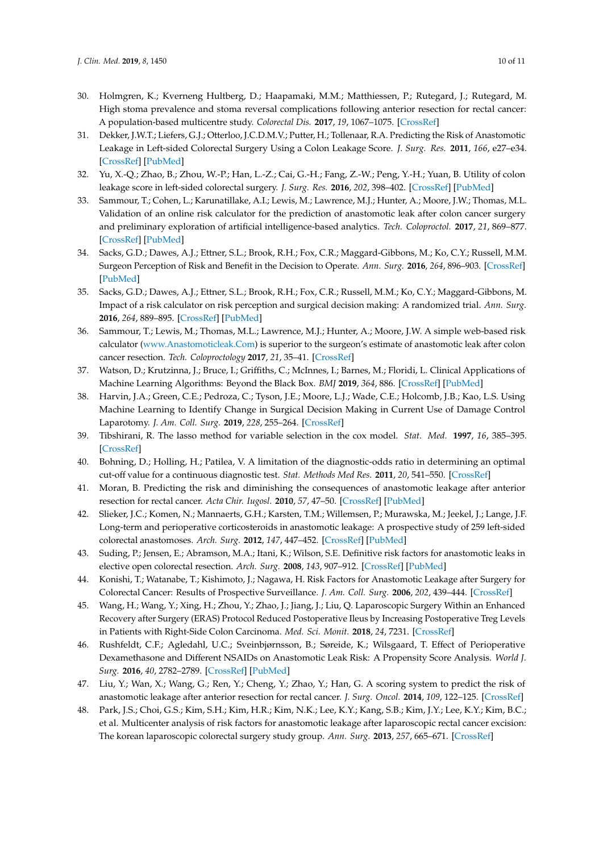- <span id="page-9-0"></span>30. Holmgren, K.; Kverneng Hultberg, D.; Haapamaki, M.M.; Matthiessen, P.; Rutegard, J.; Rutegard, M. High stoma prevalence and stoma reversal complications following anterior resection for rectal cancer: A population-based multicentre study. *Colorectal Dis.* **2017**, *19*, 1067–1075. [\[CrossRef\]](http://dx.doi.org/10.1111/codi.13771)
- <span id="page-9-1"></span>31. Dekker, J.W.T.; Liefers, G.J.; Otterloo, J.C.D.M.V.; Putter, H.; Tollenaar, R.A. Predicting the Risk of Anastomotic Leakage in Left-sided Colorectal Surgery Using a Colon Leakage Score. *J. Surg. Res.* **2011**, *166*, e27–e34. [\[CrossRef\]](http://dx.doi.org/10.1016/j.jss.2010.11.004) [\[PubMed\]](http://www.ncbi.nlm.nih.gov/pubmed/21195424)
- <span id="page-9-2"></span>32. Yu, X.-Q.; Zhao, B.; Zhou, W.-P.; Han, L.-Z.; Cai, G.-H.; Fang, Z.-W.; Peng, Y.-H.; Yuan, B. Utility of colon leakage score in left-sided colorectal surgery. *J. Surg. Res.* **2016**, *202*, 398–402. [\[CrossRef\]](http://dx.doi.org/10.1016/j.jss.2015.12.046) [\[PubMed\]](http://www.ncbi.nlm.nih.gov/pubmed/27229115)
- <span id="page-9-3"></span>33. Sammour, T.; Cohen, L.; Karunatillake, A.I.; Lewis, M.; Lawrence, M.J.; Hunter, A.; Moore, J.W.; Thomas, M.L. Validation of an online risk calculator for the prediction of anastomotic leak after colon cancer surgery and preliminary exploration of artificial intelligence-based analytics. *Tech. Coloproctol.* **2017**, *21*, 869–877. [\[CrossRef\]](http://dx.doi.org/10.1007/s10151-017-1701-1) [\[PubMed\]](http://www.ncbi.nlm.nih.gov/pubmed/29080956)
- <span id="page-9-4"></span>34. Sacks, G.D.; Dawes, A.J.; Ettner, S.L.; Brook, R.H.; Fox, C.R.; Maggard-Gibbons, M.; Ko, C.Y.; Russell, M.M. Surgeon Perception of Risk and Benefit in the Decision to Operate. *Ann. Surg.* **2016**, *264*, 896–903. [\[CrossRef\]](http://dx.doi.org/10.1097/SLA.0000000000001784) [\[PubMed\]](http://www.ncbi.nlm.nih.gov/pubmed/27192348)
- <span id="page-9-5"></span>35. Sacks, G.D.; Dawes, A.J.; Ettner, S.L.; Brook, R.H.; Fox, C.R.; Russell, M.M.; Ko, C.Y.; Maggard-Gibbons, M. Impact of a risk calculator on risk perception and surgical decision making: A randomized trial. *Ann. Surg.* **2016**, *264*, 889–895. [\[CrossRef\]](http://dx.doi.org/10.1097/SLA.0000000000001750) [\[PubMed\]](http://www.ncbi.nlm.nih.gov/pubmed/27192347)
- <span id="page-9-6"></span>36. Sammour, T.; Lewis, M.; Thomas, M.L.; Lawrence, M.J.; Hunter, A.; Moore, J.W. A simple web-based risk calculator [\(www.Anastomoticleak.Com\)](www.Anastomoticleak.Com) is superior to the surgeon's estimate of anastomotic leak after colon cancer resection. *Tech. Coloproctology* **2017**, *21*, 35–41. [\[CrossRef\]](http://dx.doi.org/10.1007/s10151-016-1567-7)
- <span id="page-9-7"></span>37. Watson, D.; Krutzinna, J.; Bruce, I.; Griffiths, C.; McInnes, I.; Barnes, M.; Floridi, L. Clinical Applications of Machine Learning Algorithms: Beyond the Black Box. *BMJ* **2019**, *364*, 886. [\[CrossRef\]](http://dx.doi.org/10.1136/bmj.l886) [\[PubMed\]](http://www.ncbi.nlm.nih.gov/pubmed/30862612)
- <span id="page-9-8"></span>38. Harvin, J.A.; Green, C.E.; Pedroza, C.; Tyson, J.E.; Moore, L.J.; Wade, C.E.; Holcomb, J.B.; Kao, L.S. Using Machine Learning to Identify Change in Surgical Decision Making in Current Use of Damage Control Laparotomy. *J. Am. Coll. Surg.* **2019**, *228*, 255–264. [\[CrossRef\]](http://dx.doi.org/10.1016/j.jamcollsurg.2018.12.025)
- <span id="page-9-9"></span>39. Tibshirani, R. The lasso method for variable selection in the cox model. *Stat. Med.* **1997**, *16*, 385–395. [\[CrossRef\]](http://dx.doi.org/10.1002/(SICI)1097-0258(19970228)16:4<385::AID-SIM380>3.0.CO;2-3)
- <span id="page-9-10"></span>40. Bohning, D.; Holling, H.; Patilea, V. A limitation of the diagnostic-odds ratio in determining an optimal cut-off value for a continuous diagnostic test. *Stat. Methods Med Res.* **2011**, *20*, 541–550. [\[CrossRef\]](http://dx.doi.org/10.1177/0962280210374532)
- <span id="page-9-11"></span>41. Moran, B. Predicting the risk and diminishing the consequences of anastomotic leakage after anterior resection for rectal cancer. *Acta Chir. Iugosl.* **2010**, *57*, 47–50. [\[CrossRef\]](http://dx.doi.org/10.2298/ACI1003047M) [\[PubMed\]](http://www.ncbi.nlm.nih.gov/pubmed/21066983)
- <span id="page-9-12"></span>42. Slieker, J.C.; Komen, N.; Mannaerts, G.H.; Karsten, T.M.; Willemsen, P.; Murawska, M.; Jeekel, J.; Lange, J.F. Long-term and perioperative corticosteroids in anastomotic leakage: A prospective study of 259 left-sided colorectal anastomoses. *Arch. Surg.* **2012**, *147*, 447–452. [\[CrossRef\]](http://dx.doi.org/10.1001/archsurg.2011.1690) [\[PubMed\]](http://www.ncbi.nlm.nih.gov/pubmed/22249852)
- 43. Suding, P.; Jensen, E.; Abramson, M.A.; Itani, K.; Wilson, S.E. Definitive risk factors for anastomotic leaks in elective open colorectal resection. *Arch. Surg.* **2008**, *143*, 907–912. [\[CrossRef\]](http://dx.doi.org/10.1001/archsurg.143.9.907) [\[PubMed\]](http://www.ncbi.nlm.nih.gov/pubmed/18794430)
- 44. Konishi, T.; Watanabe, T.; Kishimoto, J.; Nagawa, H. Risk Factors for Anastomotic Leakage after Surgery for Colorectal Cancer: Results of Prospective Surveillance. *J. Am. Coll. Surg.* **2006**, *202*, 439–444. [\[CrossRef\]](http://dx.doi.org/10.1016/j.jamcollsurg.2005.10.019)
- 45. Wang, H.; Wang, Y.; Xing, H.; Zhou, Y.; Zhao, J.; Jiang, J.; Liu, Q. Laparoscopic Surgery Within an Enhanced Recovery after Surgery (ERAS) Protocol Reduced Postoperative Ileus by Increasing Postoperative Treg Levels in Patients with Right-Side Colon Carcinoma. *Med. Sci. Monit.* **2018**, *24*, 7231. [\[CrossRef\]](http://dx.doi.org/10.12659/MSM.910817)
- <span id="page-9-13"></span>46. Rushfeldt, C.F.; Agledahl, U.C.; Sveinbjørnsson, B.; Søreide, K.; Wilsgaard, T. Effect of Perioperative Dexamethasone and Different NSAIDs on Anastomotic Leak Risk: A Propensity Score Analysis. *World J. Surg.* **2016**, *40*, 2782–2789. [\[CrossRef\]](http://dx.doi.org/10.1007/s00268-016-3620-0) [\[PubMed\]](http://www.ncbi.nlm.nih.gov/pubmed/27386865)
- <span id="page-9-14"></span>47. Liu, Y.; Wan, X.; Wang, G.; Ren, Y.; Cheng, Y.; Zhao, Y.; Han, G. A scoring system to predict the risk of anastomotic leakage after anterior resection for rectal cancer. *J. Surg. Oncol.* **2014**, *109*, 122–125. [\[CrossRef\]](http://dx.doi.org/10.1002/jso.23467)
- 48. Park, J.S.; Choi, G.S.; Kim, S.H.; Kim, H.R.; Kim, N.K.; Lee, K.Y.; Kang, S.B.; Kim, J.Y.; Lee, K.Y.; Kim, B.C.; et al. Multicenter analysis of risk factors for anastomotic leakage after laparoscopic rectal cancer excision: The korean laparoscopic colorectal surgery study group. *Ann. Surg.* **2013**, *257*, 665–671. [\[CrossRef\]](http://dx.doi.org/10.1097/SLA.0b013e31827b8ed9)